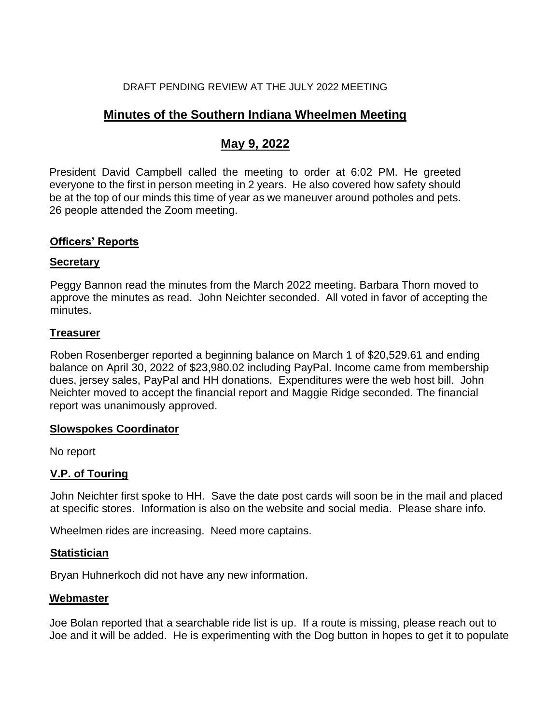#### DRAFT PENDING REVIEW AT THE JULY 2022 MEETING

# **Minutes of the Southern Indiana Wheelmen Meeting**

# **May 9, 2022**

President David Campbell called the meeting to order at 6:02 PM. He greeted everyone to the first in person meeting in 2 years. He also covered how safety should be at the top of our minds this time of year as we maneuver around potholes and pets. 26 people attended the Zoom meeting.

### **Officers' Reports**

#### **Secretary**

Peggy Bannon read the minutes from the March 2022 meeting. Barbara Thorn moved to approve the minutes as read. John Neichter seconded. All voted in favor of accepting the minutes.

#### **Treasurer**

Roben Rosenberger reported a beginning balance on March 1 of \$20,529.61 and ending balance on April 30, 2022 of \$23,980.02 including PayPal. Income came from membership dues, jersey sales, PayPal and HH donations. Expenditures were the web host bill. John Neichter moved to accept the financial report and Maggie Ridge seconded. The financial report was unanimously approved.

#### **Slowspokes Coordinator**

No report

#### **V.P. of Touring**

John Neichter first spoke to HH. Save the date post cards will soon be in the mail and placed at specific stores. Information is also on the website and social media. Please share info.

Wheelmen rides are increasing. Need more captains.

#### **Statistician**

Bryan Huhnerkoch did not have any new information.

#### **Webmaster**

Joe Bolan reported that a searchable ride list is up. If a route is missing, please reach out to Joe and it will be added. He is experimenting with the Dog button in hopes to get it to populate